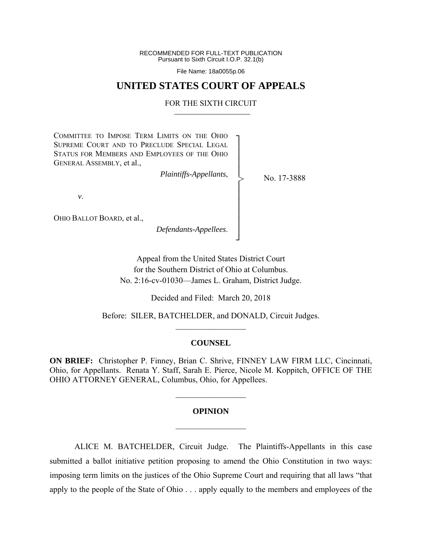RECOMMENDED FOR FULL-TEXT PUBLICATION Pursuant to Sixth Circuit I.O.P. 32.1(b)

File Name: 18a0055p.06

# **UNITED STATES COURT OF APPEALS**

### FOR THE SIXTH CIRCUIT

┐ │ │ │ │ │ │ │ │ │ │ ┘

>

COMMITTEE TO IMPOSE TERM LIMITS ON THE OHIO SUPREME COURT AND TO PRECLUDE SPECIAL LEGAL STATUS FOR MEMBERS AND EMPLOYEES OF THE OHIO GENERAL ASSEMBLY, et al.,

*Plaintiffs-Appellants*,

No. 17-3888

*v*.

OHIO BALLOT BOARD, et al.,

*Defendants-Appellees*.

Appeal from the United States District Court for the Southern District of Ohio at Columbus. No. 2:16-cv-01030—James L. Graham, District Judge.

Decided and Filed: March 20, 2018

Before: SILER, BATCHELDER, and DONALD, Circuit Judges.  $\frac{1}{2}$ 

#### **COUNSEL**

**ON BRIEF:** Christopher P. Finney, Brian C. Shrive, FINNEY LAW FIRM LLC, Cincinnati, Ohio, for Appellants. Renata Y. Staff, Sarah E. Pierce, Nicole M. Koppitch, OFFICE OF THE OHIO ATTORNEY GENERAL, Columbus, Ohio, for Appellees.

# **OPINION**   $\mathcal{L}_\text{max}$

 $\frac{1}{2}$  ,  $\frac{1}{2}$  ,  $\frac{1}{2}$  ,  $\frac{1}{2}$  ,  $\frac{1}{2}$  ,  $\frac{1}{2}$  ,  $\frac{1}{2}$  ,  $\frac{1}{2}$  ,  $\frac{1}{2}$ 

 ALICE M. BATCHELDER, Circuit Judge. The Plaintiffs-Appellants in this case submitted a ballot initiative petition proposing to amend the Ohio Constitution in two ways: imposing term limits on the justices of the Ohio Supreme Court and requiring that all laws "that apply to the people of the State of Ohio . . . apply equally to the members and employees of the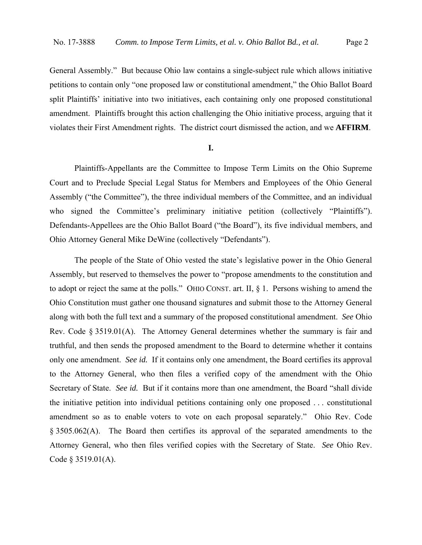General Assembly." But because Ohio law contains a single-subject rule which allows initiative petitions to contain only "one proposed law or constitutional amendment," the Ohio Ballot Board split Plaintiffs' initiative into two initiatives, each containing only one proposed constitutional amendment. Plaintiffs brought this action challenging the Ohio initiative process, arguing that it violates their First Amendment rights. The district court dismissed the action, and we **AFFIRM**.

# **I.**

 Plaintiffs-Appellants are the Committee to Impose Term Limits on the Ohio Supreme Court and to Preclude Special Legal Status for Members and Employees of the Ohio General Assembly ("the Committee"), the three individual members of the Committee, and an individual who signed the Committee's preliminary initiative petition (collectively "Plaintiffs"). Defendants-Appellees are the Ohio Ballot Board ("the Board"), its five individual members, and Ohio Attorney General Mike DeWine (collectively "Defendants").

 The people of the State of Ohio vested the state's legislative power in the Ohio General Assembly, but reserved to themselves the power to "propose amendments to the constitution and to adopt or reject the same at the polls." OHIO CONST. art. II, § 1. Persons wishing to amend the Ohio Constitution must gather one thousand signatures and submit those to the Attorney General along with both the full text and a summary of the proposed constitutional amendment. *See* Ohio Rev. Code  $\S 3519.01(A)$ . The Attorney General determines whether the summary is fair and truthful, and then sends the proposed amendment to the Board to determine whether it contains only one amendment. *See id.* If it contains only one amendment, the Board certifies its approval to the Attorney General, who then files a verified copy of the amendment with the Ohio Secretary of State. *See id.* But if it contains more than one amendment, the Board "shall divide the initiative petition into individual petitions containing only one proposed . . . constitutional amendment so as to enable voters to vote on each proposal separately." Ohio Rev. Code § 3505.062(A). The Board then certifies its approval of the separated amendments to the Attorney General, who then files verified copies with the Secretary of State. *See* Ohio Rev. Code § 3519.01(A).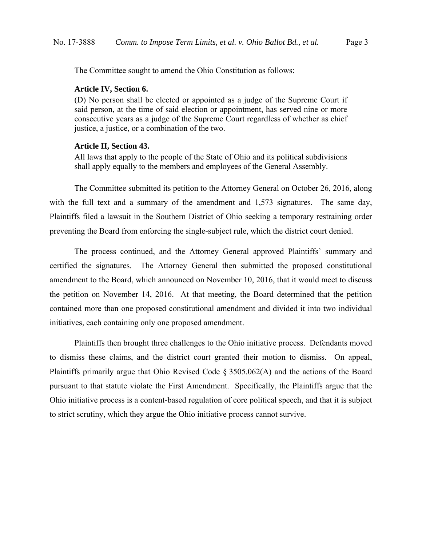The Committee sought to amend the Ohio Constitution as follows:

#### **Article IV, Section 6.**

(D) No person shall be elected or appointed as a judge of the Supreme Court if said person, at the time of said election or appointment, has served nine or more consecutive years as a judge of the Supreme Court regardless of whether as chief justice, a justice, or a combination of the two.

# **Article II, Section 43.**

All laws that apply to the people of the State of Ohio and its political subdivisions shall apply equally to the members and employees of the General Assembly.

 The Committee submitted its petition to the Attorney General on October 26, 2016, along with the full text and a summary of the amendment and 1,573 signatures. The same day, Plaintiffs filed a lawsuit in the Southern District of Ohio seeking a temporary restraining order preventing the Board from enforcing the single-subject rule, which the district court denied.

The process continued, and the Attorney General approved Plaintiffs' summary and certified the signatures. The Attorney General then submitted the proposed constitutional amendment to the Board, which announced on November 10, 2016, that it would meet to discuss the petition on November 14, 2016. At that meeting, the Board determined that the petition contained more than one proposed constitutional amendment and divided it into two individual initiatives, each containing only one proposed amendment.

 Plaintiffs then brought three challenges to the Ohio initiative process. Defendants moved to dismiss these claims, and the district court granted their motion to dismiss. On appeal, Plaintiffs primarily argue that Ohio Revised Code § 3505.062(A) and the actions of the Board pursuant to that statute violate the First Amendment. Specifically, the Plaintiffs argue that the Ohio initiative process is a content-based regulation of core political speech, and that it is subject to strict scrutiny, which they argue the Ohio initiative process cannot survive.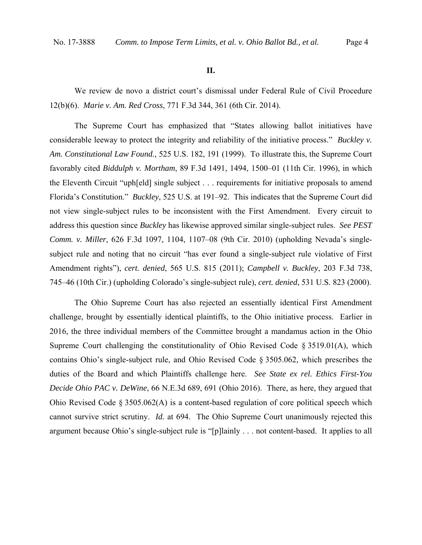#### **II.**

 We review de novo a district court's dismissal under Federal Rule of Civil Procedure 12(b)(6). *Marie v. Am. Red Cross*, 771 F.3d 344, 361 (6th Cir. 2014).

 The Supreme Court has emphasized that "States allowing ballot initiatives have considerable leeway to protect the integrity and reliability of the initiative process." *Buckley v. Am. Constitutional Law Found.*, 525 U.S. 182, 191 (1999). To illustrate this, the Supreme Court favorably cited *Biddulph v. Mortham*, 89 F.3d 1491, 1494, 1500–01 (11th Cir. 1996), in which the Eleventh Circuit "uph[eld] single subject . . . requirements for initiative proposals to amend Florida's Constitution." *Buckley*, 525 U.S. at 191–92. This indicates that the Supreme Court did not view single-subject rules to be inconsistent with the First Amendment. Every circuit to address this question since *Buckley* has likewise approved similar single-subject rules. *See PEST Comm. v. Miller*, 626 F.3d 1097, 1104, 1107–08 (9th Cir. 2010) (upholding Nevada's singlesubject rule and noting that no circuit "has ever found a single-subject rule violative of First Amendment rights"), *cert. denied*, 565 U.S. 815 (2011); *Campbell v. Buckley*, 203 F.3d 738, 745–46 (10th Cir.) (upholding Colorado's single-subject rule), *cert. denied*, 531 U.S. 823 (2000).

 The Ohio Supreme Court has also rejected an essentially identical First Amendment challenge, brought by essentially identical plaintiffs, to the Ohio initiative process. Earlier in 2016, the three individual members of the Committee brought a mandamus action in the Ohio Supreme Court challenging the constitutionality of Ohio Revised Code § 3519.01(A), which contains Ohio's single-subject rule, and Ohio Revised Code § 3505.062, which prescribes the duties of the Board and which Plaintiffs challenge here. *See State ex rel. Ethics First-You Decide Ohio PAC v. DeWine*, 66 N.E.3d 689, 691 (Ohio 2016). There, as here, they argued that Ohio Revised Code  $\S 3505.062(A)$  is a content-based regulation of core political speech which cannot survive strict scrutiny. *Id.* at 694. The Ohio Supreme Court unanimously rejected this argument because Ohio's single-subject rule is "[p]lainly . . . not content-based. It applies to all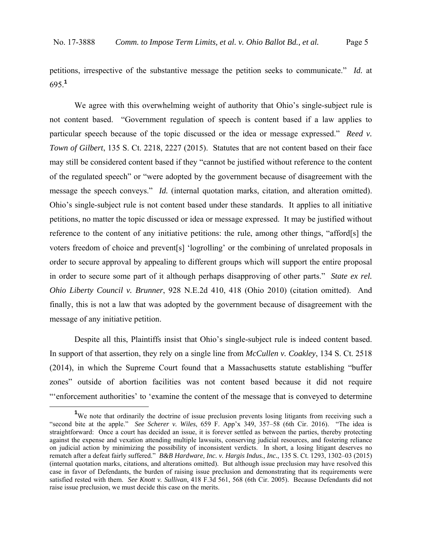petitions, irrespective of the substantive message the petition seeks to communicate." *Id.* at 695.**<sup>1</sup>**

We agree with this overwhelming weight of authority that Ohio's single-subject rule is not content based. "Government regulation of speech is content based if a law applies to particular speech because of the topic discussed or the idea or message expressed." *Reed v. Town of Gilbert*, 135 S. Ct. 2218, 2227 (2015). Statutes that are not content based on their face may still be considered content based if they "cannot be justified without reference to the content of the regulated speech" or "were adopted by the government because of disagreement with the message the speech conveys." *Id.* (internal quotation marks, citation, and alteration omitted). Ohio's single-subject rule is not content based under these standards. It applies to all initiative petitions, no matter the topic discussed or idea or message expressed. It may be justified without reference to the content of any initiative petitions: the rule, among other things, "afford[s] the voters freedom of choice and prevent[s] 'logrolling' or the combining of unrelated proposals in order to secure approval by appealing to different groups which will support the entire proposal in order to secure some part of it although perhaps disapproving of other parts." *State ex rel. Ohio Liberty Council v. Brunner*, 928 N.E.2d 410, 418 (Ohio 2010) (citation omitted). And finally, this is not a law that was adopted by the government because of disagreement with the message of any initiative petition.

 Despite all this, Plaintiffs insist that Ohio's single-subject rule is indeed content based. In support of that assertion, they rely on a single line from *McCullen v. Coakley*, 134 S. Ct. 2518 (2014), in which the Supreme Court found that a Massachusetts statute establishing "buffer zones" outside of abortion facilities was not content based because it did not require "'enforcement authorities' to 'examine the content of the message that is conveyed to determine

 $\frac{1}{1}$ <sup>1</sup>We note that ordinarily the doctrine of issue preclusion prevents losing litigants from receiving such a "second bite at the apple." *See Scherer v. Wiles*, 659 F. App'x 349, 357–58 (6th Cir. 2016). "The idea is straightforward: Once a court has decided an issue, it is forever settled as between the parties, thereby protecting against the expense and vexation attending multiple lawsuits, conserving judicial resources, and fostering reliance on judicial action by minimizing the possibility of inconsistent verdicts. In short, a losing litigant deserves no rematch after a defeat fairly suffered." *B&B Hardware, Inc. v. Hargis Indus., Inc.*, 135 S. Ct. 1293, 1302–03 (2015) (internal quotation marks, citations, and alterations omitted). But although issue preclusion may have resolved this case in favor of Defendants, the burden of raising issue preclusion and demonstrating that its requirements were satisfied rested with them. *See Knott v. Sullivan*, 418 F.3d 561, 568 (6th Cir. 2005). Because Defendants did not raise issue preclusion, we must decide this case on the merits.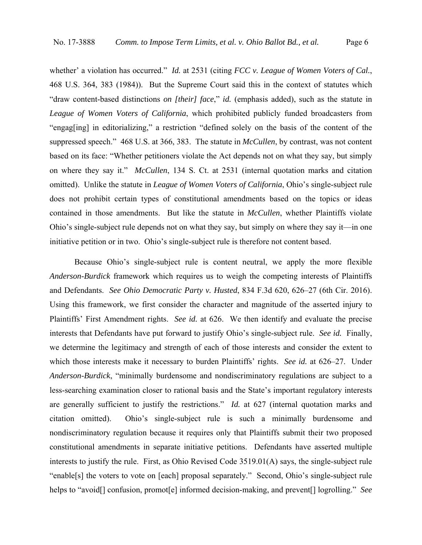whether' a violation has occurred." *Id.* at 2531 (citing *FCC v. League of Women Voters of Cal.*, 468 U.S. 364, 383 (1984)). But the Supreme Court said this in the context of statutes which "draw content-based distinctions *on [their] face*," *id.* (emphasis added), such as the statute in *League of Women Voters of California*, which prohibited publicly funded broadcasters from "engag[ing] in editorializing," a restriction "defined solely on the basis of the content of the suppressed speech." 468 U.S. at 366, 383. The statute in *McCullen*, by contrast, was not content based on its face: "Whether petitioners violate the Act depends not on what they say, but simply on where they say it." *McCullen*, 134 S. Ct. at 2531 (internal quotation marks and citation omitted). Unlike the statute in *League of Women Voters of California*, Ohio's single-subject rule does not prohibit certain types of constitutional amendments based on the topics or ideas contained in those amendments. But like the statute in *McCullen*, whether Plaintiffs violate Ohio's single-subject rule depends not on what they say, but simply on where they say it—in one initiative petition or in two. Ohio's single-subject rule is therefore not content based.

 Because Ohio's single-subject rule is content neutral, we apply the more flexible *Anderson-Burdick* framework which requires us to weigh the competing interests of Plaintiffs and Defendants. *See Ohio Democratic Party v. Husted*, 834 F.3d 620, 626–27 (6th Cir. 2016). Using this framework, we first consider the character and magnitude of the asserted injury to Plaintiffs' First Amendment rights. *See id.* at 626. We then identify and evaluate the precise interests that Defendants have put forward to justify Ohio's single-subject rule. *See id.* Finally, we determine the legitimacy and strength of each of those interests and consider the extent to which those interests make it necessary to burden Plaintiffs' rights. *See id.* at 626–27. Under *Anderson-Burdick*, "minimally burdensome and nondiscriminatory regulations are subject to a less-searching examination closer to rational basis and the State's important regulatory interests are generally sufficient to justify the restrictions." *Id.* at 627 (internal quotation marks and citation omitted). Ohio's single-subject rule is such a minimally burdensome and nondiscriminatory regulation because it requires only that Plaintiffs submit their two proposed constitutional amendments in separate initiative petitions. Defendants have asserted multiple interests to justify the rule. First, as Ohio Revised Code 3519.01(A) says, the single-subject rule "enable[s] the voters to vote on [each] proposal separately." Second, Ohio's single-subject rule helps to "avoid[] confusion, promot[e] informed decision-making, and prevent[] logrolling." *See*